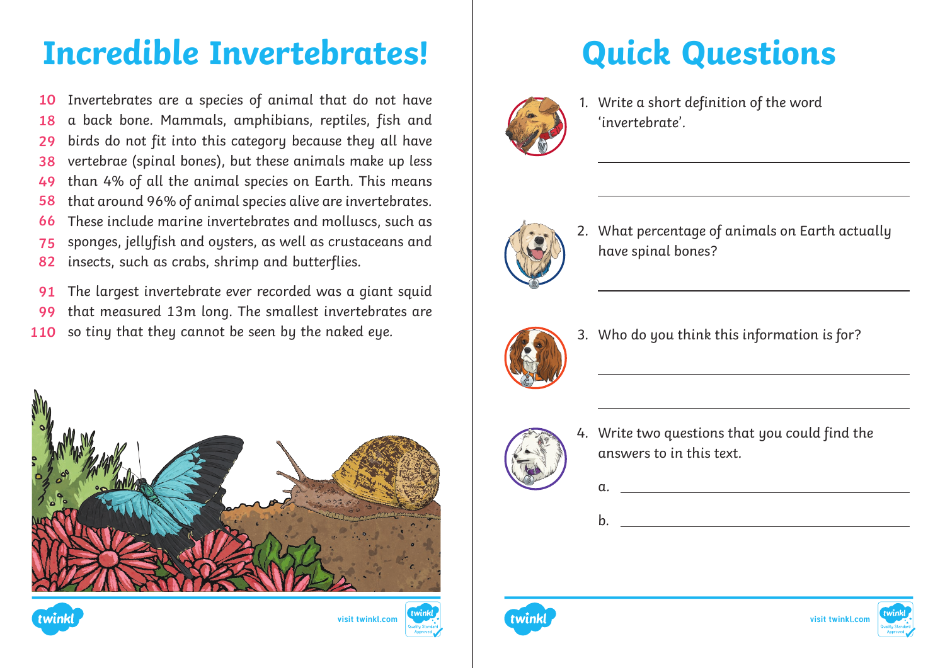## **Incredible Invertebrates! | Quick Questions**

Invertebrates are a species of animal that do not have a back bone. Mammals, amphibians, reptiles, fish and birds do not fit into this category because they all have vertebrae (spinal bones), but these animals make up less than 4% of all the animal species on Earth. This means that around 96% of animal species alive are invertebrates. These include marine invertebrates and molluscs, such as sponges, jellyfish and oysters, as well as crustaceans and insects, such as crabs, shrimp and butterflies. **10 18 29 38 49 58 66 75 82**

The largest invertebrate ever recorded was a giant squid that measured 13m long. The smallest invertebrates are so tiny that they cannot be seen by the naked eye. **91 99 110**









1. Write a short definition of the word 'invertebrate'.



2. What percentage of animals on Earth actually have spinal bones?



3. Who do you think this information is for?



a.

b.

4. Write two questions that you could find the answers to in this text.